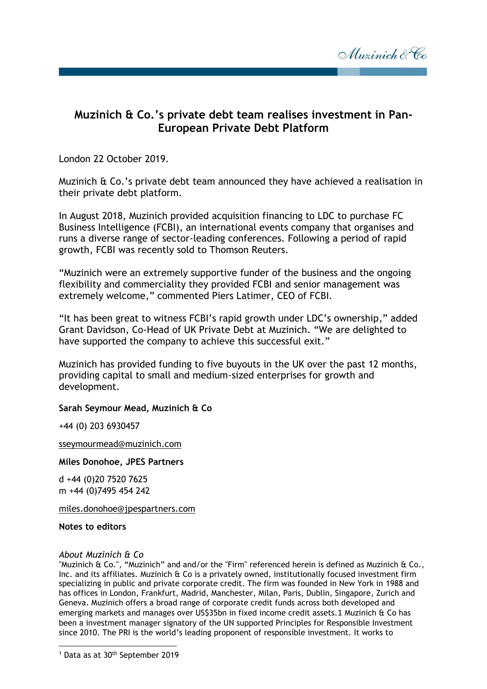

## **Muzinich & Co.'s private debt team realises investment in Pan-European Private Debt Platform**

London 22 October 2019.

Muzinich & Co.'s private debt team announced they have achieved a realisation in their private debt platform.

In August 2018, Muzinich provided acquisition financing to LDC to purchase FC Business Intelligence (FCBI), an international events company that organises and runs a diverse range of sector-leading conferences. Following a period of rapid growth, FCBI was recently sold to Thomson Reuters.

"Muzinich were an extremely supportive funder of the business and the ongoing flexibility and commerciality they provided FCBI and senior management was extremely welcome," commented Piers Latimer, CEO of FCBI.

"It has been great to witness FCBI's rapid growth under LDC's ownership," added Grant Davidson, Co-Head of UK Private Debt at Muzinich. "We are delighted to have supported the company to achieve this successful exit."

Muzinich has provided funding to five buyouts in the UK over the past 12 months, providing capital to small and medium-sized enterprises for growth and development.

## **Sarah Seymour Mead, Muzinich & Co**

+44 (0) 203 6930457

[sseymourmead@muzinich.com](mailto:sseymourmead@muzinich.com)

**Miles Donohoe, JPES Partners**

d +44 (0)20 7520 7625 m +44 (0)7495 454 242

[miles.donohoe@jpespartners.com](mailto:miles.donohoe@jpespartners.com)

**Notes to editors**

1

## *About Muzinich & Co*

"Muzinich & Co.", "Muzinich" and and/or the "Firm" referenced herein is defined as Muzinich & Co., Inc. and its affiliates. Muzinich & Co is a privately owned, institutionally focused investment firm specializing in public and private corporate credit. The firm was founded in New York in 1988 and has offices in London, Frankfurt, Madrid, Manchester, Milan, Paris, Dublin, Singapore, Zurich and Geneva. Muzinich offers a broad range of corporate credit funds across both developed and emerging markets and manages over US\$35bn in fixed income credit assets.1 Muzinich & Co has been a investment manager signatory of the UN supported Principles for Responsible Investment since 2010. The PRI is the world's leading proponent of responsible investment. It works to

<sup>&</sup>lt;sup>1</sup> Data as at 30<sup>th</sup> September 2019